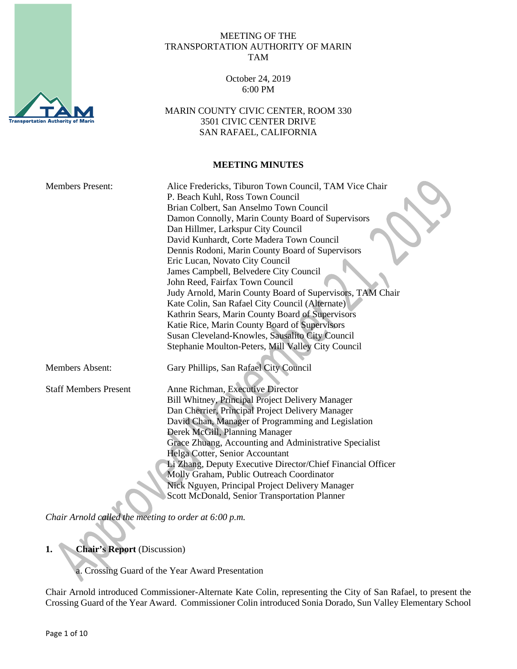

#### MEETING OF THE TRANSPORTATION AUTHORITY OF MARIN TAM

October 24, 2019 6:00 PM

MARIN COUNTY CIVIC CENTER, ROOM 330 3501 CIVIC CENTER DRIVE SAN RAFAEL, CALIFORNIA

## **MEETING MINUTES**

| <b>Members Present:</b>      | Alice Fredericks, Tiburon Town Council, TAM Vice Chair<br>P. Beach Kuhl, Ross Town Council<br>Brian Colbert, San Anselmo Town Council<br>Damon Connolly, Marin County Board of Supervisors<br>Dan Hillmer, Larkspur City Council<br>David Kunhardt, Corte Madera Town Council<br>Dennis Rodoni, Marin County Board of Supervisors<br>Eric Lucan, Novato City Council<br>James Campbell, Belvedere City Council<br>John Reed, Fairfax Town Council<br>Judy Arnold, Marin County Board of Supervisors, TAM Chair<br>Kate Colin, San Rafael City Council (Alternate)<br>Kathrin Sears, Marin County Board of Supervisors<br>Katie Rice, Marin County Board of Supervisors<br>Susan Cleveland-Knowles, Sausalito City Council<br>Stephanie Moulton-Peters, Mill Valley City Council |
|------------------------------|---------------------------------------------------------------------------------------------------------------------------------------------------------------------------------------------------------------------------------------------------------------------------------------------------------------------------------------------------------------------------------------------------------------------------------------------------------------------------------------------------------------------------------------------------------------------------------------------------------------------------------------------------------------------------------------------------------------------------------------------------------------------------------|
| <b>Members Absent:</b>       | Gary Phillips, San Rafael City Council                                                                                                                                                                                                                                                                                                                                                                                                                                                                                                                                                                                                                                                                                                                                          |
| <b>Staff Members Present</b> | Anne Richman, Executive Director<br>Bill Whitney, Principal Project Delivery Manager<br>Dan Cherrier, Principal Project Delivery Manager<br>David Chan, Manager of Programming and Legislation<br>Derek McGill, Planning Manager<br>Grace Zhuang, Accounting and Administrative Specialist<br>Helga Cotter, Senior Accountant<br>Li Zhang, Deputy Executive Director/Chief Financial Officer<br>Molly Graham, Public Outreach Coordinator<br>Nick Nguyen, Principal Project Delivery Manager<br>Scott McDonald, Senior Transportation Planner                                                                                                                                                                                                                                   |

*Chair Arnold called the meeting to order at 6:00 p.m.*

**1. Chair's Report** (Discussion)

a. Crossing Guard of the Year Award Presentation

Chair Arnold introduced Commissioner-Alternate Kate Colin, representing the City of San Rafael, to present the Crossing Guard of the Year Award. Commissioner Colin introduced Sonia Dorado, Sun Valley Elementary School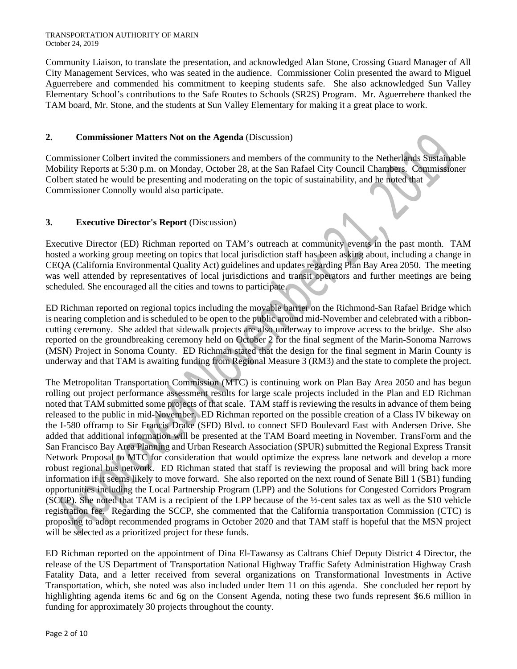Community Liaison, to translate the presentation, and acknowledged Alan Stone, Crossing Guard Manager of All City Management Services, who was seated in the audience. Commissioner Colin presented the award to Miguel Aguerrebere and commended his commitment to keeping students safe. She also acknowledged Sun Valley Elementary School's contributions to the Safe Routes to Schools (SR2S) Program. Mr. Aguerrebere thanked the TAM board, Mr. Stone, and the students at Sun Valley Elementary for making it a great place to work.

# **2. Commissioner Matters Not on the Agenda** (Discussion)

Commissioner Colbert invited the commissioners and members of the community to the Netherlands Sustainable Mobility Reports at 5:30 p.m. on Monday, October 28, at the San Rafael City Council Chambers. Commissioner Colbert stated he would be presenting and moderating on the topic of sustainability, and he noted that Commissioner Connolly would also participate.

# **3. Executive Director's Report** (Discussion)

Executive Director (ED) Richman reported on TAM's outreach at community events in the past month. TAM hosted a working group meeting on topics that local jurisdiction staff has been asking about, including a change in CEQA (California Environmental Quality Act) guidelines and updates regarding Plan Bay Area 2050. The meeting was well attended by representatives of local jurisdictions and transit operators and further meetings are being scheduled. She encouraged all the cities and towns to participate.

ED Richman reported on regional topics including the movable barrier on the Richmond-San Rafael Bridge which is nearing completion and is scheduled to be open to the public around mid-November and celebrated with a ribboncutting ceremony. She added that sidewalk projects are also underway to improve access to the bridge. She also reported on the groundbreaking ceremony held on October 2 for the final segment of the Marin-Sonoma Narrows (MSN) Project in Sonoma County. ED Richman stated that the design for the final segment in Marin County is underway and that TAM is awaiting funding from Regional Measure 3 (RM3) and the state to complete the project.

The Metropolitan Transportation Commission (MTC) is continuing work on Plan Bay Area 2050 and has begun rolling out project performance assessment results for large scale projects included in the Plan and ED Richman noted that TAM submitted some projects of that scale. TAM staff is reviewing the results in advance of them being released to the public in mid-November. ED Richman reported on the possible creation of a Class IV bikeway on the I-580 offramp to Sir Francis Drake (SFD) Blvd. to connect SFD Boulevard East with Andersen Drive. She added that additional information will be presented at the TAM Board meeting in November. TransForm and the San Francisco Bay Area Planning and Urban Research Association (SPUR) submitted the Regional Express Transit Network Proposal to MTC for consideration that would optimize the express lane network and develop a more robust regional bus network. ED Richman stated that staff is reviewing the proposal and will bring back more information if it seems likely to move forward. She also reported on the next round of Senate Bill 1 (SB1) funding opportunities including the Local Partnership Program (LPP) and the Solutions for Congested Corridors Program (SCCP). She noted that TAM is a recipient of the LPP because of the ½-cent sales tax as well as the \$10 vehicle registration fee. Regarding the SCCP, she commented that the California transportation Commission (CTC) is proposing to adopt recommended programs in October 2020 and that TAM staff is hopeful that the MSN project will be selected as a prioritized project for these funds.

ED Richman reported on the appointment of Dina El-Tawansy as Caltrans Chief Deputy District 4 Director, the release of the US Department of Transportation National Highway Traffic Safety Administration Highway Crash Fatality Data, and a letter received from several organizations on Transformational Investments in Active Transportation, which, she noted was also included under Item 11 on this agenda. She concluded her report by highlighting agenda items 6c and 6g on the Consent Agenda, noting these two funds represent \$6.6 million in funding for approximately 30 projects throughout the county.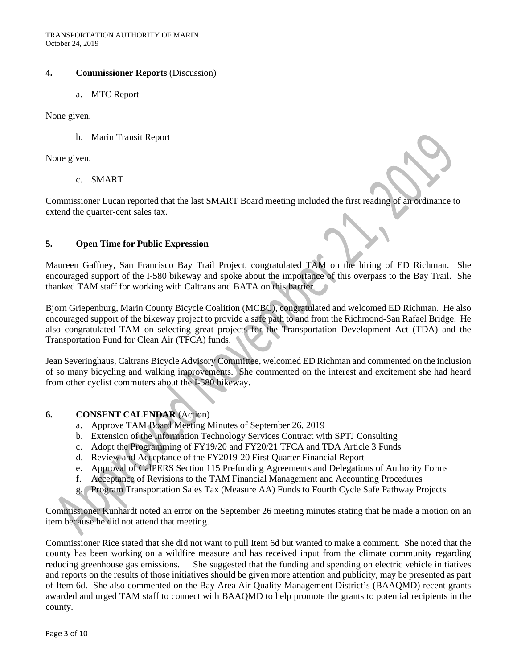#### **4. Commissioner Reports** (Discussion)

a. MTC Report

None given.

b. Marin Transit Report

None given.

c. SMART

Commissioner Lucan reported that the last SMART Board meeting included the first reading of an ordinance to extend the quarter-cent sales tax.

### **5. Open Time for Public Expression**

Maureen Gaffney, San Francisco Bay Trail Project, congratulated TAM on the hiring of ED Richman. She encouraged support of the I-580 bikeway and spoke about the importance of this overpass to the Bay Trail. She thanked TAM staff for working with Caltrans and BATA on this barrier.

Bjorn Griepenburg, Marin County Bicycle Coalition (MCBC), congratulated and welcomed ED Richman. He also encouraged support of the bikeway project to provide a safe path to and from the Richmond-San Rafael Bridge. He also congratulated TAM on selecting great projects for the Transportation Development Act (TDA) and the Transportation Fund for Clean Air (TFCA) funds.

Jean Severinghaus, Caltrans Bicycle Advisory Committee, welcomed ED Richman and commented on the inclusion of so many bicycling and walking improvements. She commented on the interest and excitement she had heard from other cyclist commuters about the I-580 bikeway.

### **6. CONSENT CALENDAR** (Action)

- a. Approve TAM Board Meeting Minutes of September 26, 2019
- b. Extension of the Information Technology Services Contract with SPTJ Consulting
- c. Adopt the Programming of FY19/20 and FY20/21 TFCA and TDA Article 3 Funds
- d. Review and Acceptance of the FY2019-20 First Quarter Financial Report
- e. Approval of CalPERS Section 115 Prefunding Agreements and Delegations of Authority Forms
- f. Acceptance of Revisions to the TAM Financial Management and Accounting Procedures
- g. Program Transportation Sales Tax (Measure AA) Funds to Fourth Cycle Safe Pathway Projects

Commissioner Kunhardt noted an error on the September 26 meeting minutes stating that he made a motion on an item because he did not attend that meeting.

Commissioner Rice stated that she did not want to pull Item 6d but wanted to make a comment. She noted that the county has been working on a wildfire measure and has received input from the climate community regarding reducing greenhouse gas emissions. She suggested that the funding and spending on electric vehicle initiatives and reports on the results of those initiatives should be given more attention and publicity, may be presented as part of Item 6d. She also commented on the Bay Area Air Quality Management District's (BAAQMD) recent grants awarded and urged TAM staff to connect with BAAQMD to help promote the grants to potential recipients in the county.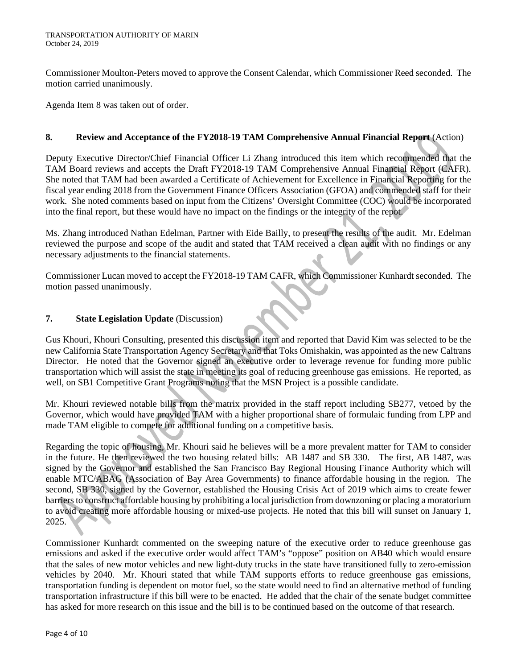Commissioner Moulton-Peters moved to approve the Consent Calendar, which Commissioner Reed seconded. The motion carried unanimously.

Agenda Item 8 was taken out of order.

## **8. Review and Acceptance of the FY2018-19 TAM Comprehensive Annual Financial Report** (Action)

Deputy Executive Director/Chief Financial Officer Li Zhang introduced this item which recommended that the TAM Board reviews and accepts the Draft FY2018-19 TAM Comprehensive Annual Financial Report (CAFR). She noted that TAM had been awarded a Certificate of Achievement for Excellence in Financial Reporting for the fiscal year ending 2018 from the Government Finance Officers Association (GFOA) and commended staff for their work. She noted comments based on input from the Citizens' Oversight Committee (COC) would be incorporated into the final report, but these would have no impact on the findings or the integrity of the repot.

Ms. Zhang introduced Nathan Edelman, Partner with Eide Bailly, to present the results of the audit. Mr. Edelman reviewed the purpose and scope of the audit and stated that TAM received a clean audit with no findings or any necessary adjustments to the financial statements.

Commissioner Lucan moved to accept the FY2018-19 TAM CAFR, which Commissioner Kunhardt seconded. The motion passed unanimously.

## **7. State Legislation Update** (Discussion)

Gus Khouri, Khouri Consulting, presented this discussion item and reported that David Kim was selected to be the new California State Transportation Agency Secretary and that Toks Omishakin, was appointed as the new Caltrans Director. He noted that the Governor signed an executive order to leverage revenue for funding more public transportation which will assist the state in meeting its goal of reducing greenhouse gas emissions. He reported, as well, on SB1 Competitive Grant Programs noting that the MSN Project is a possible candidate.

Mr. Khouri reviewed notable bills from the matrix provided in the staff report including SB277, vetoed by the Governor, which would have provided TAM with a higher proportional share of formulaic funding from LPP and made TAM eligible to compete for additional funding on a competitive basis.

Regarding the topic of housing, Mr. Khouri said he believes will be a more prevalent matter for TAM to consider in the future. He then reviewed the two housing related bills: AB 1487 and SB 330. The first, AB 1487, was signed by the Governor and established the San Francisco Bay Regional Housing Finance Authority which will enable MTC/ABAG (Association of Bay Area Governments) to finance affordable housing in the region. The second, SB 330, signed by the Governor, established the Housing Crisis Act of 2019 which aims to create fewer barriers to construct affordable housing by prohibiting a local jurisdiction from downzoning or placing a moratorium to avoid creating more affordable housing or mixed-use projects. He noted that this bill will sunset on January 1, 2025.

Commissioner Kunhardt commented on the sweeping nature of the executive order to reduce greenhouse gas emissions and asked if the executive order would affect TAM's "oppose" position on AB40 which would ensure that the sales of new motor vehicles and new light-duty trucks in the state have transitioned fully to zero-emission vehicles by 2040. Mr. Khouri stated that while TAM supports efforts to reduce greenhouse gas emissions, transportation funding is dependent on motor fuel, so the state would need to find an alternative method of funding transportation infrastructure if this bill were to be enacted. He added that the chair of the senate budget committee has asked for more research on this issue and the bill is to be continued based on the outcome of that research.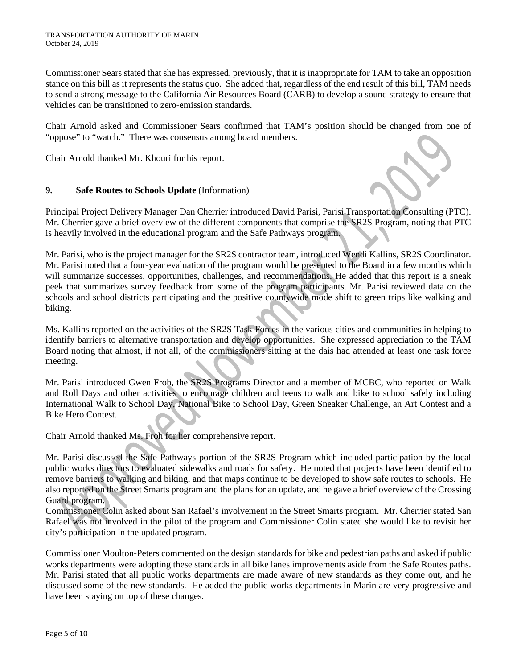Commissioner Sears stated that she has expressed, previously, that it is inappropriate for TAM to take an opposition stance on this bill as it represents the status quo. She added that, regardless of the end result of this bill, TAM needs to send a strong message to the California Air Resources Board (CARB) to develop a sound strategy to ensure that vehicles can be transitioned to zero-emission standards.

Chair Arnold asked and Commissioner Sears confirmed that TAM's position should be changed from one of "oppose" to "watch." There was consensus among board members.

Chair Arnold thanked Mr. Khouri for his report.

## **9. Safe Routes to Schools Update** (Information)

Principal Project Delivery Manager Dan Cherrier introduced David Parisi, Parisi Transportation Consulting (PTC). Mr. Cherrier gave a brief overview of the different components that comprise the SR2S Program, noting that PTC is heavily involved in the educational program and the Safe Pathways program.

Mr. Parisi, who is the project manager for the SR2S contractor team, introduced Wendi Kallins, SR2S Coordinator. Mr. Parisi noted that a four-year evaluation of the program would be presented to the Board in a few months which will summarize successes, opportunities, challenges, and recommendations. He added that this report is a sneak peek that summarizes survey feedback from some of the program participants. Mr. Parisi reviewed data on the schools and school districts participating and the positive countywide mode shift to green trips like walking and biking.

Ms. Kallins reported on the activities of the SR2S Task Forces in the various cities and communities in helping to identify barriers to alternative transportation and develop opportunities. She expressed appreciation to the TAM Board noting that almost, if not all, of the commissioners sitting at the dais had attended at least one task force meeting.

Mr. Parisi introduced Gwen Froh, the SR2S Programs Director and a member of MCBC, who reported on Walk and Roll Days and other activities to encourage children and teens to walk and bike to school safely including International Walk to School Day, National Bike to School Day, Green Sneaker Challenge, an Art Contest and a Bike Hero Contest.

Chair Arnold thanked Ms. Froh for her comprehensive report.

Mr. Parisi discussed the Safe Pathways portion of the SR2S Program which included participation by the local public works directors to evaluated sidewalks and roads for safety. He noted that projects have been identified to remove barriers to walking and biking, and that maps continue to be developed to show safe routes to schools. He also reported on the Street Smarts program and the plans for an update, and he gave a brief overview of the Crossing Guard program.

Commissioner Colin asked about San Rafael's involvement in the Street Smarts program. Mr. Cherrier stated San Rafael was not involved in the pilot of the program and Commissioner Colin stated she would like to revisit her city's participation in the updated program.

Commissioner Moulton-Peters commented on the design standards for bike and pedestrian paths and asked if public works departments were adopting these standards in all bike lanes improvements aside from the Safe Routes paths. Mr. Parisi stated that all public works departments are made aware of new standards as they come out, and he discussed some of the new standards. He added the public works departments in Marin are very progressive and have been staying on top of these changes.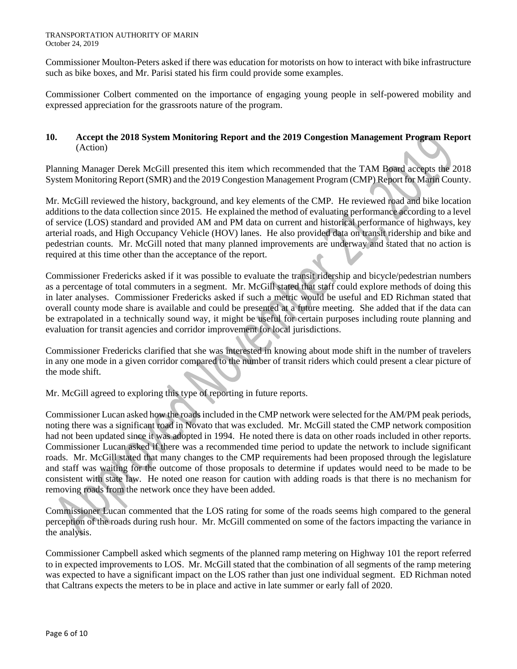Commissioner Moulton-Peters asked if there was education for motorists on how to interact with bike infrastructure such as bike boxes, and Mr. Parisi stated his firm could provide some examples.

Commissioner Colbert commented on the importance of engaging young people in self-powered mobility and expressed appreciation for the grassroots nature of the program.

## **10. Accept the 2018 System Monitoring Report and the 2019 Congestion Management Program Report** (Action)

Planning Manager Derek McGill presented this item which recommended that the TAM Board accepts the 2018 System Monitoring Report (SMR) and the 2019 Congestion Management Program (CMP) Report for Marin County.

Mr. McGill reviewed the history, background, and key elements of the CMP. He reviewed road and bike location additions to the data collection since 2015. He explained the method of evaluating performance according to a level of service (LOS) standard and provided AM and PM data on current and historical performance of highways, key arterial roads, and High Occupancy Vehicle (HOV) lanes. He also provided data on transit ridership and bike and pedestrian counts. Mr. McGill noted that many planned improvements are underway and stated that no action is required at this time other than the acceptance of the report.

Commissioner Fredericks asked if it was possible to evaluate the transit ridership and bicycle/pedestrian numbers as a percentage of total commuters in a segment. Mr. McGill stated that staff could explore methods of doing this in later analyses. Commissioner Fredericks asked if such a metric would be useful and ED Richman stated that overall county mode share is available and could be presented at a future meeting. She added that if the data can be extrapolated in a technically sound way, it might be useful for certain purposes including route planning and evaluation for transit agencies and corridor improvement for local jurisdictions.

Commissioner Fredericks clarified that she was interested in knowing about mode shift in the number of travelers in any one mode in a given corridor compared to the number of transit riders which could present a clear picture of the mode shift.

Mr. McGill agreed to exploring this type of reporting in future reports.

Commissioner Lucan asked how the roads included in the CMP network were selected for the AM/PM peak periods, noting there was a significant road in Novato that was excluded. Mr. McGill stated the CMP network composition had not been updated since it was adopted in 1994. He noted there is data on other roads included in other reports. Commissioner Lucan asked if there was a recommended time period to update the network to include significant roads. Mr. McGill stated that many changes to the CMP requirements had been proposed through the legislature and staff was waiting for the outcome of those proposals to determine if updates would need to be made to be consistent with state law. He noted one reason for caution with adding roads is that there is no mechanism for removing roads from the network once they have been added.

Commissioner Lucan commented that the LOS rating for some of the roads seems high compared to the general perception of the roads during rush hour. Mr. McGill commented on some of the factors impacting the variance in the analysis.

Commissioner Campbell asked which segments of the planned ramp metering on Highway 101 the report referred to in expected improvements to LOS. Mr. McGill stated that the combination of all segments of the ramp metering was expected to have a significant impact on the LOS rather than just one individual segment. ED Richman noted that Caltrans expects the meters to be in place and active in late summer or early fall of 2020.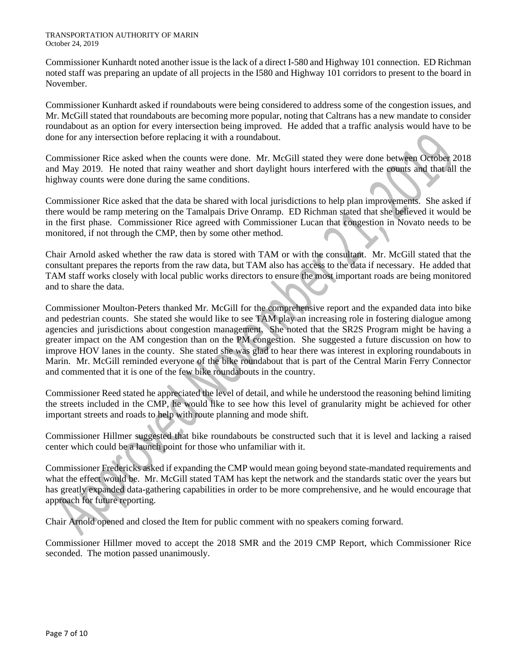#### TRANSPORTATION AUTHORITY OF MARIN October 24, 2019

Commissioner Kunhardt noted another issue is the lack of a direct I-580 and Highway 101 connection. ED Richman noted staff was preparing an update of all projects in the I580 and Highway 101 corridors to present to the board in November.

Commissioner Kunhardt asked if roundabouts were being considered to address some of the congestion issues, and Mr. McGill stated that roundabouts are becoming more popular, noting that Caltrans has a new mandate to consider roundabout as an option for every intersection being improved. He added that a traffic analysis would have to be done for any intersection before replacing it with a roundabout.

Commissioner Rice asked when the counts were done. Mr. McGill stated they were done between October 2018 and May 2019. He noted that rainy weather and short daylight hours interfered with the counts and that all the highway counts were done during the same conditions.

Commissioner Rice asked that the data be shared with local jurisdictions to help plan improvements. She asked if there would be ramp metering on the Tamalpais Drive Onramp. ED Richman stated that she believed it would be in the first phase. Commissioner Rice agreed with Commissioner Lucan that congestion in Novato needs to be monitored, if not through the CMP, then by some other method.

Chair Arnold asked whether the raw data is stored with TAM or with the consultant. Mr. McGill stated that the consultant prepares the reports from the raw data, but TAM also has access to the data if necessary. He added that TAM staff works closely with local public works directors to ensure the most important roads are being monitored and to share the data.

Commissioner Moulton-Peters thanked Mr. McGill for the comprehensive report and the expanded data into bike and pedestrian counts. She stated she would like to see TAM play an increasing role in fostering dialogue among agencies and jurisdictions about congestion management. She noted that the SR2S Program might be having a greater impact on the AM congestion than on the PM congestion. She suggested a future discussion on how to improve HOV lanes in the county. She stated she was glad to hear there was interest in exploring roundabouts in Marin. Mr. McGill reminded everyone of the bike roundabout that is part of the Central Marin Ferry Connector and commented that it is one of the few bike roundabouts in the country.

Commissioner Reed stated he appreciated the level of detail, and while he understood the reasoning behind limiting the streets included in the CMP, he would like to see how this level of granularity might be achieved for other important streets and roads to help with route planning and mode shift.

Commissioner Hillmer suggested that bike roundabouts be constructed such that it is level and lacking a raised center which could be a launch point for those who unfamiliar with it.

Commissioner Fredericks asked if expanding the CMP would mean going beyond state-mandated requirements and what the effect would be. Mr. McGill stated TAM has kept the network and the standards static over the years but has greatly expanded data-gathering capabilities in order to be more comprehensive, and he would encourage that approach for future reporting.

Chair Arnold opened and closed the Item for public comment with no speakers coming forward.

Commissioner Hillmer moved to accept the 2018 SMR and the 2019 CMP Report, which Commissioner Rice seconded. The motion passed unanimously.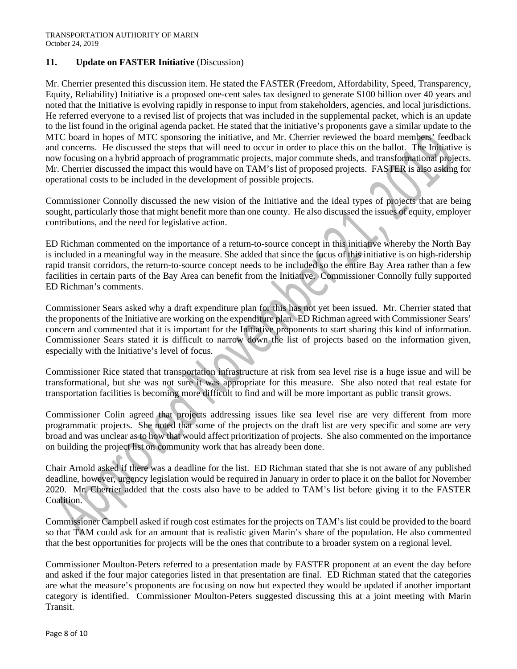### **11. Update on FASTER Initiative** (Discussion)

Mr. Cherrier presented this discussion item. He stated the FASTER (Freedom, Affordability, Speed, Transparency, Equity, Reliability) Initiative is a proposed one-cent sales tax designed to generate \$100 billion over 40 years and noted that the Initiative is evolving rapidly in response to input from stakeholders, agencies, and local jurisdictions. He referred everyone to a revised list of projects that was included in the supplemental packet, which is an update to the list found in the original agenda packet. He stated that the initiative's proponents gave a similar update to the MTC board in hopes of MTC sponsoring the initiative, and Mr. Cherrier reviewed the board members' feedback and concerns. He discussed the steps that will need to occur in order to place this on the ballot. The Initiative is now focusing on a hybrid approach of programmatic projects, major commute sheds, and transformational projects. Mr. Cherrier discussed the impact this would have on TAM's list of proposed projects. FASTER is also asking for operational costs to be included in the development of possible projects.

Commissioner Connolly discussed the new vision of the Initiative and the ideal types of projects that are being sought, particularly those that might benefit more than one county. He also discussed the issues of equity, employer contributions, and the need for legislative action.

ED Richman commented on the importance of a return-to-source concept in this initiative whereby the North Bay is included in a meaningful way in the measure. She added that since the focus of this initiative is on high-ridership rapid transit corridors, the return-to-source concept needs to be included so the entire Bay Area rather than a few facilities in certain parts of the Bay Area can benefit from the Initiative. Commissioner Connolly fully supported ED Richman's comments.

Commissioner Sears asked why a draft expenditure plan for this has not yet been issued. Mr. Cherrier stated that the proponents of the Initiative are working on the expenditure plan. ED Richman agreed with Commissioner Sears' concern and commented that it is important for the Initiative proponents to start sharing this kind of information. Commissioner Sears stated it is difficult to narrow down the list of projects based on the information given, especially with the Initiative's level of focus.

Commissioner Rice stated that transportation infrastructure at risk from sea level rise is a huge issue and will be transformational, but she was not sure it was appropriate for this measure. She also noted that real estate for transportation facilities is becoming more difficult to find and will be more important as public transit grows.

Commissioner Colin agreed that projects addressing issues like sea level rise are very different from more programmatic projects. She noted that some of the projects on the draft list are very specific and some are very broad and was unclear as to how that would affect prioritization of projects. She also commented on the importance on building the project list on community work that has already been done.

Chair Arnold asked if there was a deadline for the list. ED Richman stated that she is not aware of any published deadline, however, urgency legislation would be required in January in order to place it on the ballot for November 2020. Mr. Cherrier added that the costs also have to be added to TAM's list before giving it to the FASTER Coalition.

Commissioner Campbell asked if rough cost estimates for the projects on TAM's list could be provided to the board so that TAM could ask for an amount that is realistic given Marin's share of the population. He also commented that the best opportunities for projects will be the ones that contribute to a broader system on a regional level.

Commissioner Moulton-Peters referred to a presentation made by FASTER proponent at an event the day before and asked if the four major categories listed in that presentation are final. ED Richman stated that the categories are what the measure's proponents are focusing on now but expected they would be updated if another important category is identified. Commissioner Moulton-Peters suggested discussing this at a joint meeting with Marin Transit.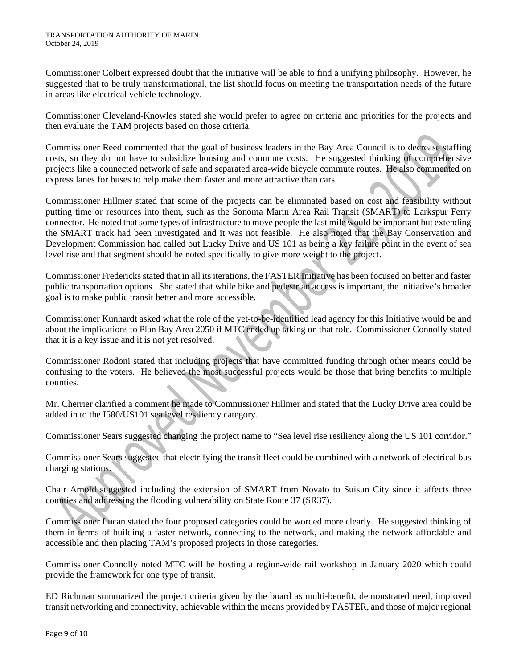Commissioner Colbert expressed doubt that the initiative will be able to find a unifying philosophy. However, he suggested that to be truly transformational, the list should focus on meeting the transportation needs of the future in areas like electrical vehicle technology.

Commissioner Cleveland-Knowles stated she would prefer to agree on criteria and priorities for the projects and then evaluate the TAM projects based on those criteria.

Commissioner Reed commented that the goal of business leaders in the Bay Area Council is to decrease staffing costs, so they do not have to subsidize housing and commute costs. He suggested thinking of comprehensive projects like a connected network of safe and separated area-wide bicycle commute routes. He also commented on express lanes for buses to help make them faster and more attractive than cars.

Commissioner Hillmer stated that some of the projects can be eliminated based on cost and feasibility without putting time or resources into them, such as the Sonoma Marin Area Rail Transit (SMART) to Larkspur Ferry connector. He noted that some types of infrastructure to move people the last mile would be important but extending the SMART track had been investigated and it was not feasible. He also noted that the Bay Conservation and Development Commission had called out Lucky Drive and US 101 as being a key failure point in the event of sea level rise and that segment should be noted specifically to give more weight to the project.

Commissioner Fredericks stated that in all its iterations, the FASTER Initiative has been focused on better and faster public transportation options. She stated that while bike and pedestrian access is important, the initiative's broader goal is to make public transit better and more accessible.

Commissioner Kunhardt asked what the role of the yet-to-be-identified lead agency for this Initiative would be and about the implications to Plan Bay Area 2050 if MTC ended up taking on that role. Commissioner Connolly stated that it is a key issue and it is not yet resolved.

Commissioner Rodoni stated that including projects that have committed funding through other means could be confusing to the voters. He believed the most successful projects would be those that bring benefits to multiple counties.

Mr. Cherrier clarified a comment he made to Commissioner Hillmer and stated that the Lucky Drive area could be added in to the I580/US101 sea level resiliency category.

Commissioner Sears suggested changing the project name to "Sea level rise resiliency along the US 101 corridor."

Commissioner Sears suggested that electrifying the transit fleet could be combined with a network of electrical bus charging stations.

Chair Arnold suggested including the extension of SMART from Novato to Suisun City since it affects three counties and addressing the flooding vulnerability on State Route 37 (SR37).

Commissioner Lucan stated the four proposed categories could be worded more clearly. He suggested thinking of them in terms of building a faster network, connecting to the network, and making the network affordable and accessible and then placing TAM's proposed projects in those categories.

Commissioner Connolly noted MTC will be hosting a region-wide rail workshop in January 2020 which could provide the framework for one type of transit.

ED Richman summarized the project criteria given by the board as multi-benefit, demonstrated need, improved transit networking and connectivity, achievable within the means provided by FASTER, and those of major regional